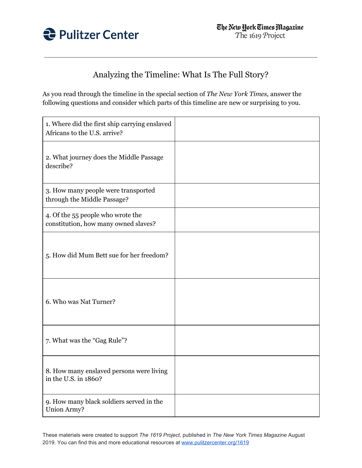

## Analyzing the Timeline: What Is The Full Story?

As you read through the timeline in the special section of *The New York Times*, answer the following questions and consider which parts of this timeline are new or surprising to you.

| 1. Where did the first ship carrying enslaved<br>Africans to the U.S. arrive? |  |
|-------------------------------------------------------------------------------|--|
| 2. What journey does the Middle Passage<br>describe?                          |  |
| 3. How many people were transported<br>through the Middle Passage?            |  |
| 4. Of the 55 people who wrote the<br>constitution, how many owned slaves?     |  |
| 5. How did Mum Bett sue for her freedom?                                      |  |
| 6. Who was Nat Turner?                                                        |  |
| 7. What was the "Gag Rule"?                                                   |  |
| 8. How many enslaved persons were living<br>in the U.S. in 1860?              |  |
| 9. How many black soldiers served in the<br>Union Army?                       |  |

These materials were created to support *The 1619 Project*, published in *The New York Times Magazine* August 2019. You can find this and more educational resources at [www.pulitzercenter.org/1619](http://www.pulitzercenter.org/1619)